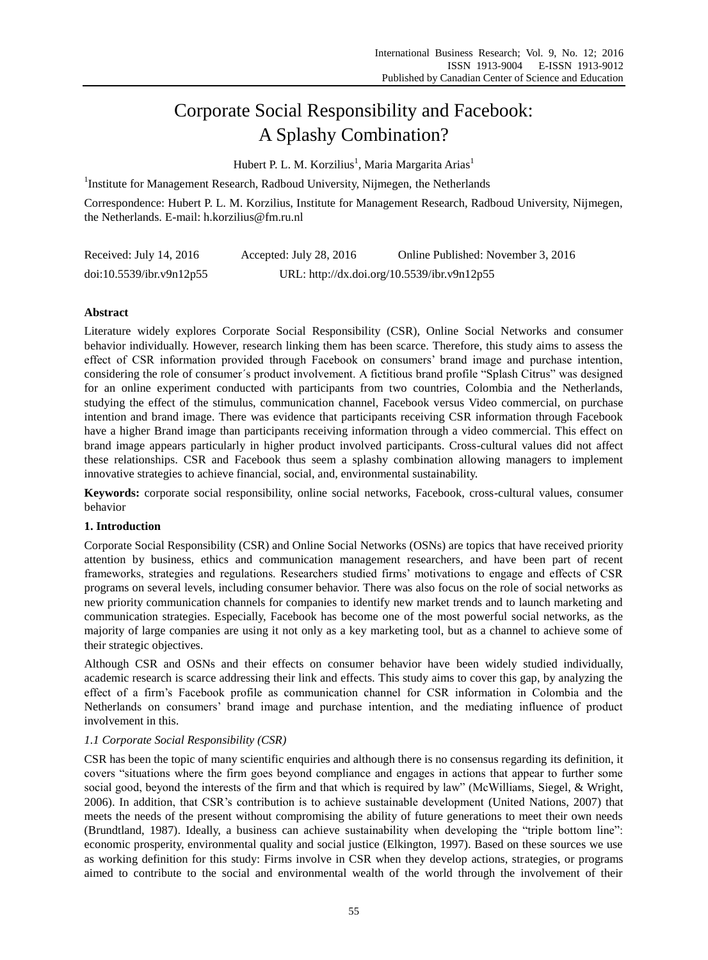# Corporate Social Responsibility and Facebook: A Splashy Combination?

Hubert P. L. M. Korzilius<sup>1</sup>, Maria Margarita Arias<sup>1</sup>

<sup>1</sup>Institute for Management Research, Radboud University, Nijmegen, the Netherlands

Correspondence: Hubert P. L. M. Korzilius, Institute for Management Research, Radboud University, Nijmegen, the Netherlands. E-mail: h.korzilius@fm.ru.nl

| Received: July 14, 2016  | Accepted: July 28, 2016 | Online Published: November 3, 2016          |
|--------------------------|-------------------------|---------------------------------------------|
| doi:10.5539/ibr.v9n12p55 |                         | URL: http://dx.doi.org/10.5539/ibr.v9n12p55 |

# **Abstract**

Literature widely explores Corporate Social Responsibility (CSR), Online Social Networks and consumer behavior individually. However, research linking them has been scarce. Therefore, this study aims to assess the effect of CSR information provided through Facebook on consumers" brand image and purchase intention, considering the role of consumer´s product involvement. A fictitious brand profile "Splash Citrus" was designed for an online experiment conducted with participants from two countries, Colombia and the Netherlands, studying the effect of the stimulus, communication channel, Facebook versus Video commercial, on purchase intention and brand image. There was evidence that participants receiving CSR information through Facebook have a higher Brand image than participants receiving information through a video commercial. This effect on brand image appears particularly in higher product involved participants. Cross-cultural values did not affect these relationships. CSR and Facebook thus seem a splashy combination allowing managers to implement innovative strategies to achieve financial, social, and, environmental sustainability.

**Keywords:** corporate social responsibility, online social networks, Facebook, cross-cultural values, consumer behavior

# **1. Introduction**

Corporate Social Responsibility (CSR) and Online Social Networks (OSNs) are topics that have received priority attention by business, ethics and communication management researchers, and have been part of recent frameworks, strategies and regulations. Researchers studied firms" motivations to engage and effects of CSR programs on several levels, including consumer behavior. There was also focus on the role of social networks as new priority communication channels for companies to identify new market trends and to launch marketing and communication strategies. Especially, Facebook has become one of the most powerful social networks, as the majority of large companies are using it not only as a key marketing tool, but as a channel to achieve some of their strategic objectives.

Although CSR and OSNs and their effects on consumer behavior have been widely studied individually, academic research is scarce addressing their link and effects. This study aims to cover this gap, by analyzing the effect of a firm"s Facebook profile as communication channel for CSR information in Colombia and the Netherlands on consumers" brand image and purchase intention, and the mediating influence of product involvement in this.

# *1.1 Corporate Social Responsibility (CSR)*

CSR has been the topic of many scientific enquiries and although there is no consensus regarding its definition, it covers "situations where the firm goes beyond compliance and engages in actions that appear to further some social good, beyond the interests of the firm and that which is required by law" (McWilliams, Siegel, & Wright, 2006). In addition, that CSR"s contribution is to achieve sustainable development (United Nations, 2007) that meets the needs of the present without compromising the ability of future generations to meet their own needs (Brundtland, 1987). Ideally, a business can achieve sustainability when developing the "triple bottom line": economic prosperity, environmental quality and social justice (Elkington, 1997). Based on these sources we use as working definition for this study: Firms involve in CSR when they develop actions, strategies, or programs aimed to contribute to the social and environmental wealth of the world through the involvement of their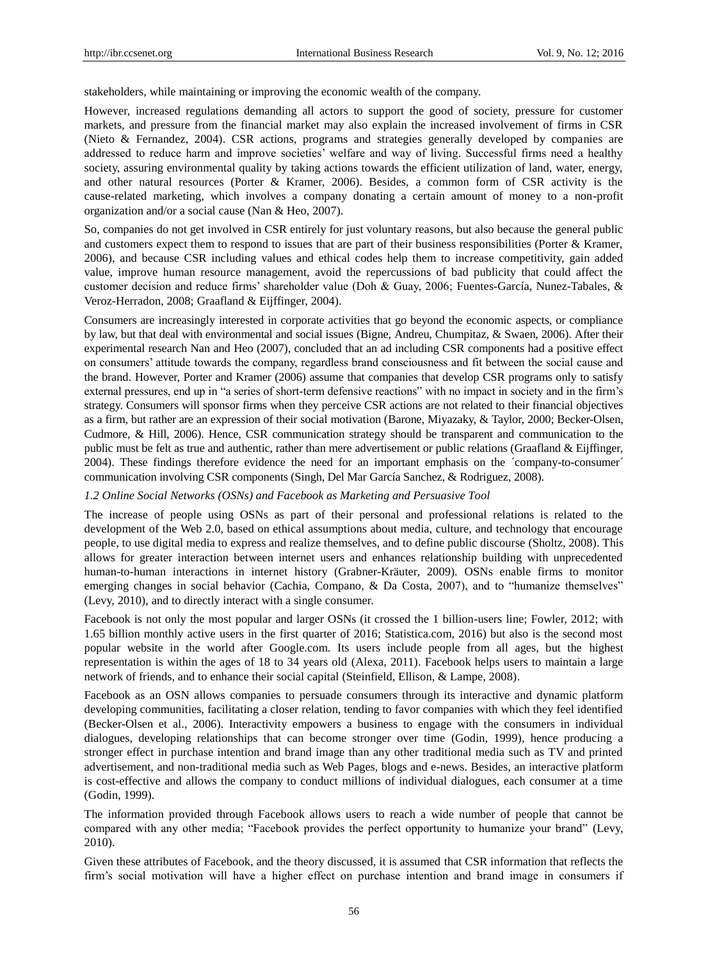stakeholders, while maintaining or improving the economic wealth of the company.

However, increased regulations demanding all actors to support the good of society, pressure for customer markets, and pressure from the financial market may also explain the increased involvement of firms in CSR (Nieto & Fernandez, 2004). CSR actions, programs and strategies generally developed by companies are addressed to reduce harm and improve societies' welfare and way of living. Successful firms need a healthy society, assuring environmental quality by taking actions towards the efficient utilization of land, water, energy, and other natural resources (Porter & Kramer, 2006). Besides, a common form of CSR activity is the cause-related marketing, which involves a company donating a certain amount of money to a non-profit organization and/or a social cause (Nan & Heo, 2007).

So, companies do not get involved in CSR entirely for just voluntary reasons, but also because the general public and customers expect them to respond to issues that are part of their business responsibilities (Porter & Kramer, 2006), and because CSR including values and ethical codes help them to increase competitivity, gain added value, improve human resource management, avoid the repercussions of bad publicity that could affect the customer decision and reduce firms" shareholder value (Doh & Guay, 2006; Fuentes-García, Nunez-Tabales, & Veroz-Herradon, 2008; Graafland & Eijffinger, 2004).

Consumers are increasingly interested in corporate activities that go beyond the economic aspects, or compliance by law, but that deal with environmental and social issues (Bigne, Andreu, Chumpitaz, & Swaen, 2006). After their experimental research Nan and Heo (2007), concluded that an ad including CSR components had a positive effect on consumers" attitude towards the company, regardless brand consciousness and fit between the social cause and the brand. However, Porter and Kramer (2006) assume that companies that develop CSR programs only to satisfy external pressures, end up in "a series of short-term defensive reactions" with no impact in society and in the firm"s strategy. Consumers will sponsor firms when they perceive CSR actions are not related to their financial objectives as a firm, but rather are an expression of their social motivation (Barone, Miyazaky, & Taylor, 2000; Becker-Olsen, Cudmore, & Hill, 2006). Hence, CSR communication strategy should be transparent and communication to the public must be felt as true and authentic, rather than mere advertisement or public relations (Graafland & Eijffinger, 2004). These findings therefore evidence the need for an important emphasis on the ´company-to-consumer´ communication involving CSR components (Singh, Del Mar García Sanchez, & Rodriguez, 2008).

#### *1.2 Online Social Networks (OSNs) and Facebook as Marketing and Persuasive Tool*

The increase of people using OSNs as part of their personal and professional relations is related to the development of the Web 2.0, based on ethical assumptions about media, culture, and technology that encourage people, to use digital media to express and realize themselves, and to define public discourse (Sholtz, 2008). This allows for greater interaction between internet users and enhances relationship building with unprecedented human-to-human interactions in internet history (Grabner-Kräuter, 2009). OSNs enable firms to monitor emerging changes in social behavior (Cachia, Compano, & Da Costa, 2007), and to "humanize themselves" (Levy, 2010), and to directly interact with a single consumer.

Facebook is not only the most popular and larger OSNs (it crossed the 1 billion-users line; Fowler, 2012; with 1.65 billion monthly active users in the first quarter of 2016; Statistica.com, 2016) but also is the second most popular website in the world after Google.com. Its users include people from all ages, but the highest representation is within the ages of 18 to 34 years old (Alexa, 2011). Facebook helps users to maintain a large network of friends, and to enhance their social capital (Steinfield, Ellison, & Lampe, 2008).

Facebook as an OSN allows companies to persuade consumers through its interactive and dynamic platform developing communities, facilitating a closer relation, tending to favor companies with which they feel identified (Becker-Olsen et al., 2006). Interactivity empowers a business to engage with the consumers in individual dialogues, developing relationships that can become stronger over time (Godin, 1999), hence producing a stronger effect in purchase intention and brand image than any other traditional media such as TV and printed advertisement, and non-traditional media such as Web Pages, blogs and e-news. Besides, an interactive platform is cost-effective and allows the company to conduct millions of individual dialogues, each consumer at a time (Godin, 1999).

The information provided through Facebook allows users to reach a wide number of people that cannot be compared with any other media; "Facebook provides the perfect opportunity to humanize your brand" (Levy, 2010).

Given these attributes of Facebook, and the theory discussed, it is assumed that CSR information that reflects the firm"s social motivation will have a higher effect on purchase intention and brand image in consumers if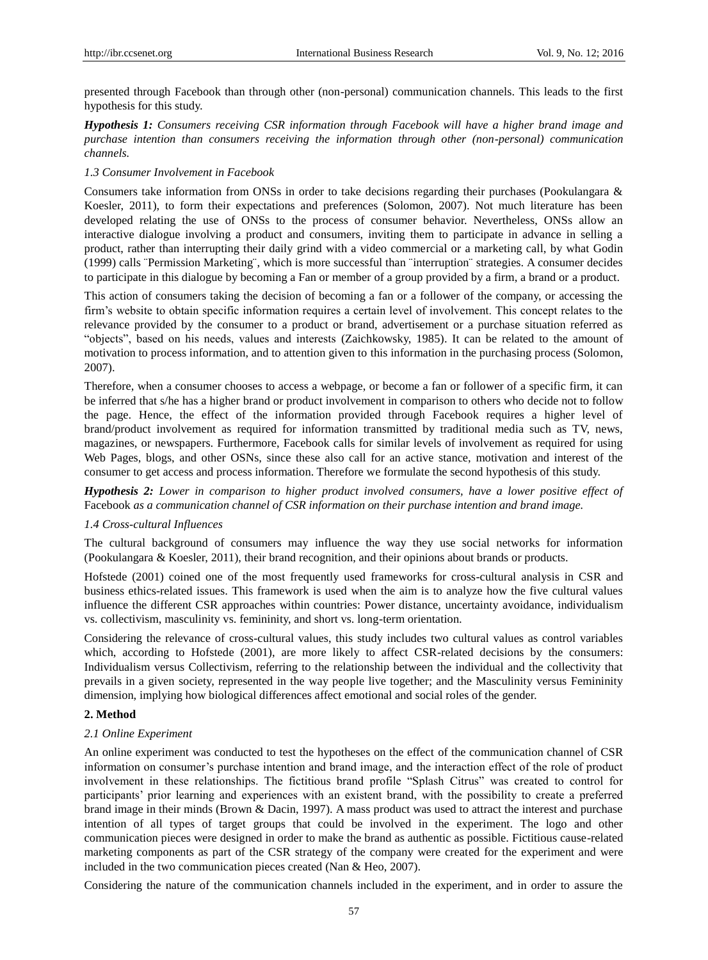presented through Facebook than through other (non-personal) communication channels. This leads to the first hypothesis for this study.

*Hypothesis 1: Consumers receiving CSR information through Facebook will have a higher brand image and purchase intention than consumers receiving the information through other (non-personal) communication channels.*

#### *1.3 Consumer Involvement in Facebook*

Consumers take information from ONSs in order to take decisions regarding their purchases (Pookulangara & Koesler, 2011), to form their expectations and preferences (Solomon, 2007). Not much literature has been developed relating the use of ONSs to the process of consumer behavior. Nevertheless, ONSs allow an interactive dialogue involving a product and consumers, inviting them to participate in advance in selling a product, rather than interrupting their daily grind with a video commercial or a marketing call, by what Godin (1999) calls Permission Marketing ; which is more successful than interruption strategies. A consumer decides to participate in this dialogue by becoming a Fan or member of a group provided by a firm, a brand or a product.

This action of consumers taking the decision of becoming a fan or a follower of the company, or accessing the firm"s website to obtain specific information requires a certain level of involvement. This concept relates to the relevance provided by the consumer to a product or brand, advertisement or a purchase situation referred as "objects", based on his needs, values and interests (Zaichkowsky, 1985). It can be related to the amount of motivation to process information, and to attention given to this information in the purchasing process (Solomon, 2007).

Therefore, when a consumer chooses to access a webpage, or become a fan or follower of a specific firm, it can be inferred that s/he has a higher brand or product involvement in comparison to others who decide not to follow the page. Hence, the effect of the information provided through Facebook requires a higher level of brand/product involvement as required for information transmitted by traditional media such as TV, news, magazines, or newspapers. Furthermore, Facebook calls for similar levels of involvement as required for using Web Pages, blogs, and other OSNs, since these also call for an active stance, motivation and interest of the consumer to get access and process information. Therefore we formulate the second hypothesis of this study.

*Hypothesis 2: Lower in comparison to higher product involved consumers, have a lower positive effect of*  Facebook *as a communication channel of CSR information on their purchase intention and brand image.*

## *1.4 Cross-cultural Influences*

The cultural background of consumers may influence the way they use social networks for information (Pookulangara & Koesler, 2011), their brand recognition, and their opinions about brands or products.

Hofstede (2001) coined one of the most frequently used frameworks for cross-cultural analysis in CSR and business ethics-related issues. This framework is used when the aim is to analyze how the five cultural values influence the different CSR approaches within countries: Power distance, uncertainty avoidance, individualism vs. collectivism, masculinity vs. femininity, and short vs. long-term orientation.

Considering the relevance of cross-cultural values, this study includes two cultural values as control variables which, according to Hofstede (2001), are more likely to affect CSR-related decisions by the consumers: Individualism versus Collectivism, referring to the relationship between the individual and the collectivity that prevails in a given society, represented in the way people live together; and the Masculinity versus Femininity dimension, implying how biological differences affect emotional and social roles of the gender.

#### **2. Method**

## *2.1 Online Experiment*

An online experiment was conducted to test the hypotheses on the effect of the communication channel of CSR information on consumer's purchase intention and brand image, and the interaction effect of the role of product involvement in these relationships. The fictitious brand profile "Splash Citrus" was created to control for participants" prior learning and experiences with an existent brand, with the possibility to create a preferred brand image in their minds (Brown & Dacin, 1997). A mass product was used to attract the interest and purchase intention of all types of target groups that could be involved in the experiment. The logo and other communication pieces were designed in order to make the brand as authentic as possible. Fictitious cause-related marketing components as part of the CSR strategy of the company were created for the experiment and were included in the two communication pieces created (Nan & Heo, 2007).

Considering the nature of the communication channels included in the experiment, and in order to assure the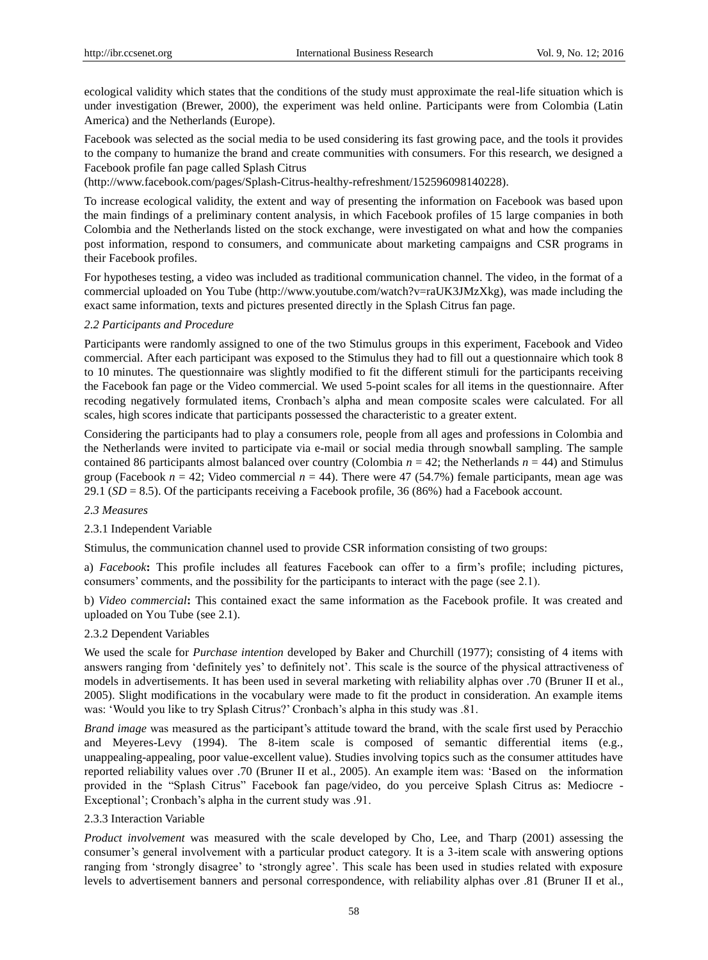ecological validity which states that the conditions of the study must approximate the real-life situation which is under investigation (Brewer, 2000), the experiment was held online. Participants were from Colombia (Latin America) and the Netherlands (Europe).

Facebook was selected as the social media to be used considering its fast growing pace, and the tools it provides to the company to humanize the brand and create communities with consumers. For this research, we designed a Facebook profile fan page called Splash Citrus

(http://www.facebook.com/pages/Splash-Citrus-healthy-refreshment/152596098140228).

To increase ecological validity, the extent and way of presenting the information on Facebook was based upon the main findings of a preliminary content analysis, in which Facebook profiles of 15 large companies in both Colombia and the Netherlands listed on the stock exchange, were investigated on what and how the companies post information, respond to consumers, and communicate about marketing campaigns and CSR programs in their Facebook profiles.

For hypotheses testing, a video was included as traditional communication channel. The video, in the format of a commercial uploaded on You Tube (http://www.youtube.com/watch?v=raUK3JMzXkg), was made including the exact same information, texts and pictures presented directly in the Splash Citrus fan page.

#### *2.2 Participants and Procedure*

Participants were randomly assigned to one of the two Stimulus groups in this experiment, Facebook and Video commercial. After each participant was exposed to the Stimulus they had to fill out a questionnaire which took 8 to 10 minutes. The questionnaire was slightly modified to fit the different stimuli for the participants receiving the Facebook fan page or the Video commercial. We used 5-point scales for all items in the questionnaire. After recoding negatively formulated items, Cronbach"s alpha and mean composite scales were calculated. For all scales, high scores indicate that participants possessed the characteristic to a greater extent.

Considering the participants had to play a consumers role, people from all ages and professions in Colombia and the Netherlands were invited to participate via e-mail or social media through snowball sampling. The sample contained 86 participants almost balanced over country (Colombia  $n = 42$ ; the Netherlands  $n = 44$ ) and Stimulus group (Facebook  $n = 42$ ; Video commercial  $n = 44$ ). There were 47 (54.7%) female participants, mean age was 29.1 (*SD* = 8.5). Of the participants receiving a Facebook profile, 36 (86%) had a Facebook account.

# *2.3 Measures*

#### 2.3.1 Independent Variable

Stimulus, the communication channel used to provide CSR information consisting of two groups:

a) *Facebook***:** This profile includes all features Facebook can offer to a firm"s profile; including pictures, consumers" comments, and the possibility for the participants to interact with the page (see 2.1).

b) *Video commercial***:** This contained exact the same information as the Facebook profile. It was created and uploaded on You Tube (see 2.1).

#### 2.3.2 Dependent Variables

We used the scale for *Purchase intention* developed by Baker and Churchill (1977); consisting of 4 items with answers ranging from 'definitely yes' to definitely not'. This scale is the source of the physical attractiveness of models in advertisements. It has been used in several marketing with reliability alphas over .70 (Bruner II et al., 2005). Slight modifications in the vocabulary were made to fit the product in consideration. An example items was: 'Would you like to try Splash Citrus?' Cronbach's alpha in this study was .81.

*Brand image* was measured as the participant's attitude toward the brand, with the scale first used by Peracchio and Meyeres-Levy (1994). The 8-item scale is composed of semantic differential items (e.g., unappealing-appealing, poor value-excellent value). Studies involving topics such as the consumer attitudes have reported reliability values over .70 (Bruner II et al., 2005). An example item was: "Based on the information provided in the "Splash Citrus" Facebook fan page/video, do you perceive Splash Citrus as: Mediocre - Exceptional'; Cronbach's alpha in the current study was .91.

#### 2.3.3 Interaction Variable

*Product involvement* was measured with the scale developed by Cho, Lee, and Tharp (2001) assessing the consumer"s general involvement with a particular product category. It is a 3-item scale with answering options ranging from 'strongly disagree' to 'strongly agree'. This scale has been used in studies related with exposure levels to advertisement banners and personal correspondence, with reliability alphas over .81 (Bruner II et al.,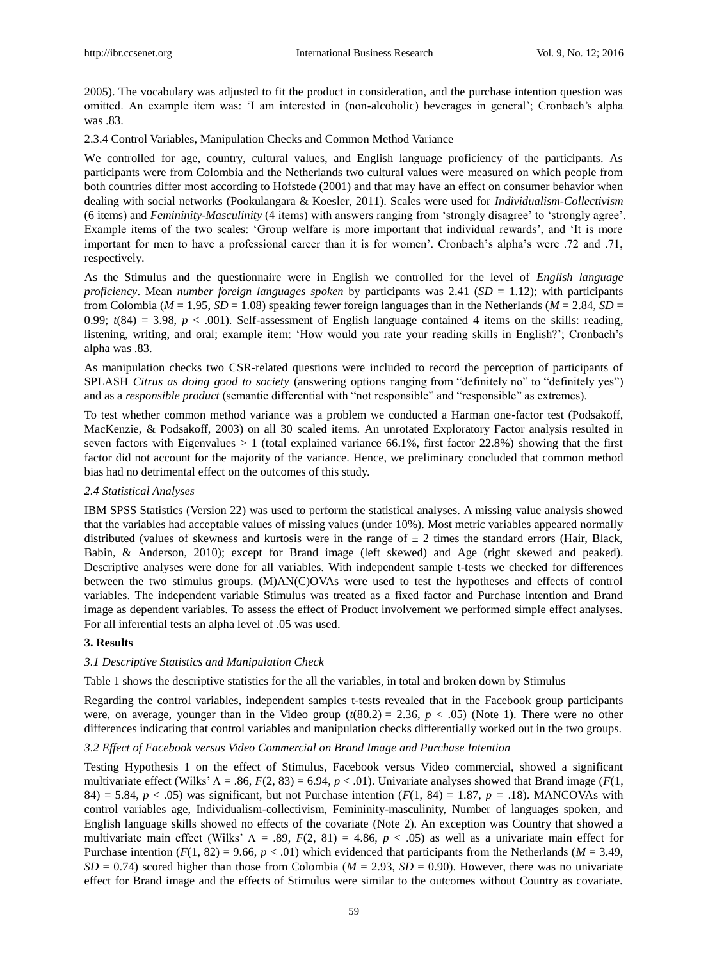2005). The vocabulary was adjusted to fit the product in consideration, and the purchase intention question was omitted. An example item was: "I am interested in (non-alcoholic) beverages in general"; Cronbach"s alpha was .83.

2.3.4 Control Variables, Manipulation Checks and Common Method Variance

We controlled for age, country, cultural values, and English language proficiency of the participants. As participants were from Colombia and the Netherlands two cultural values were measured on which people from both countries differ most according to Hofstede (2001) and that may have an effect on consumer behavior when dealing with social networks (Pookulangara & Koesler, 2011). Scales were used for *Individualism-Collectivism* (6 items) and *Femininity-Masculinity* (4 items) with answers ranging from "strongly disagree" to "strongly agree". Example items of the two scales: "Group welfare is more important that individual rewards", and "It is more important for men to have a professional career than it is for women". Cronbach"s alpha"s were .72 and .71, respectively.

As the Stimulus and the questionnaire were in English we controlled for the level of *English language proficiency*. Mean *number foreign languages spoken* by participants was 2.41 (*SD* = 1.12); with participants from Colombia ( $M = 1.95$ ,  $SD = 1.08$ ) speaking fewer foreign languages than in the Netherlands ( $M = 2.84$ ,  $SD = 1.08$ ) 0.99;  $t(84) = 3.98$ ,  $p < .001$ ). Self-assessment of English language contained 4 items on the skills: reading, listening, writing, and oral; example item: "How would you rate your reading skills in English?"; Cronbach"s alpha was .83.

As manipulation checks two CSR-related questions were included to record the perception of participants of SPLASH *Citrus as doing good to society* (answering options ranging from "definitely no" to "definitely yes") and as a *responsible product* (semantic differential with "not responsible" and "responsible" as extremes).

To test whether common method variance was a problem we conducted a Harman one-factor test (Podsakoff, MacKenzie, & Podsakoff, 2003) on all 30 scaled items. An unrotated Exploratory Factor analysis resulted in seven factors with Eigenvalues  $> 1$  (total explained variance 66.1%, first factor 22.8%) showing that the first factor did not account for the majority of the variance. Hence, we preliminary concluded that common method bias had no detrimental effect on the outcomes of this study.

#### *2.4 Statistical Analyses*

IBM SPSS Statistics (Version 22) was used to perform the statistical analyses. A missing value analysis showed that the variables had acceptable values of missing values (under 10%). Most metric variables appeared normally distributed (values of skewness and kurtosis were in the range of  $\pm 2$  times the standard errors (Hair, Black, Babin, & Anderson, 2010); except for Brand image (left skewed) and Age (right skewed and peaked). Descriptive analyses were done for all variables. With independent sample t-tests we checked for differences between the two stimulus groups. (M)AN(C)OVAs were used to test the hypotheses and effects of control variables. The independent variable Stimulus was treated as a fixed factor and Purchase intention and Brand image as dependent variables. To assess the effect of Product involvement we performed simple effect analyses. For all inferential tests an alpha level of .05 was used.

## **3. Results**

## *3.1 Descriptive Statistics and Manipulation Check*

Table 1 shows the descriptive statistics for the all the variables, in total and broken down by Stimulus

Regarding the control variables, independent samples t-tests revealed that in the Facebook group participants were, on average, younger than in the Video group  $(t(80.2) = 2.36, p < .05)$  (Note 1). There were no other differences indicating that control variables and manipulation checks differentially worked out in the two groups.

## *3.2 Effect of Facebook versus Video Commercial on Brand Image and Purchase Intention*

Testing Hypothesis 1 on the effect of Stimulus, Facebook versus Video commercial, showed a significant multivariate effect (Wilks'  $\Lambda = .86$ ,  $F(2, 83) = 6.94$ ,  $p < .01$ ). Univariate analyses showed that Brand image ( $F(1, 1)$ ) 84) = 5.84,  $p < .05$ ) was significant, but not Purchase intention  $(F(1, 84) = 1.87, p = .18)$ . MANCOVAs with control variables age, Individualism-collectivism, Femininity-masculinity, Number of languages spoken, and English language skills showed no effects of the covariate (Note 2). An exception was Country that showed a multivariate main effect (Wilks'  $\Lambda = .89$ ,  $F(2, 81) = 4.86$ ,  $p < .05$ ) as well as a univariate main effect for Purchase intention  $(F(1, 82) = 9.66, p < .01)$  which evidenced that participants from the Netherlands ( $M = 3.49$ ,  $SD = 0.74$ ) scored higher than those from Colombia ( $M = 2.93$ ,  $SD = 0.90$ ). However, there was no univariate effect for Brand image and the effects of Stimulus were similar to the outcomes without Country as covariate.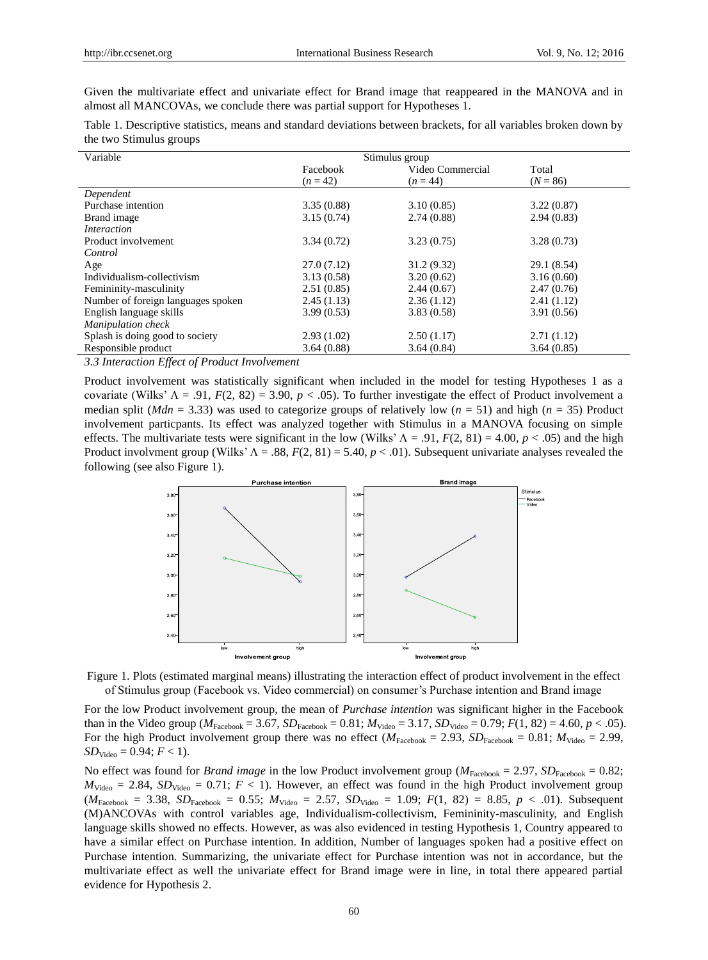Given the multivariate effect and univariate effect for Brand image that reappeared in the MANOVA and in almost all MANCOVAs, we conclude there was partial support for Hypotheses 1.

| Table 1. Descriptive statistics, means and standard deviations between brackets, for all variables broken down by |  |  |  |
|-------------------------------------------------------------------------------------------------------------------|--|--|--|
| the two Stimulus groups                                                                                           |  |  |  |

| Variable                           | Stimulus group |                  |             |  |
|------------------------------------|----------------|------------------|-------------|--|
|                                    | Facebook       | Video Commercial | Total       |  |
|                                    | $(n=42)$       | $(n = 44)$       | $(N = 86)$  |  |
| Dependent                          |                |                  |             |  |
| Purchase intention                 | 3.35(0.88)     | 3.10(0.85)       | 3.22(0.87)  |  |
| Brand image                        | 3.15(0.74)     | 2.74(0.88)       | 2.94(0.83)  |  |
| <i>Interaction</i>                 |                |                  |             |  |
| Product involvement                | 3.34(0.72)     | 3.23(0.75)       | 3.28(0.73)  |  |
| Control                            |                |                  |             |  |
| Age                                | 27.0(7.12)     | 31.2(9.32)       | 29.1 (8.54) |  |
| Individualism-collectivism         | 3.13(0.58)     | 3.20(0.62)       | 3.16(0.60)  |  |
| Femininity-masculinity             | 2.51(0.85)     | 2.44(0.67)       | 2.47(0.76)  |  |
| Number of foreign languages spoken | 2.45(1.13)     | 2.36(1.12)       | 2.41(1.12)  |  |
| English language skills            | 3.99(0.53)     | 3.83(0.58)       | 3.91(0.56)  |  |
| <b>Manipulation</b> check          |                |                  |             |  |
| Splash is doing good to society    | 2.93(1.02)     | 2.50(1.17)       | 2.71(1.12)  |  |
| Responsible product                | 3.64(0.88)     | 3.64(0.84)       | 3.64(0.85)  |  |

*3.3 Interaction Effect of Product Involvement*

Product involvement was statistically significant when included in the model for testing Hypotheses 1 as a covariate (Wilks'  $\Lambda = .91$ ,  $F(2, 82) = 3.90$ ,  $p < .05$ ). To further investigate the effect of Product involvement a median split (*Mdn* = 3.33) was used to categorize groups of relatively low (*n* = 51) and high (*n* = 35) Product involvement particpants. Its effect was analyzed together with Stimulus in a MANOVA focusing on simple effects. The multivariate tests were significant in the low (Wilks'  $\Lambda = .91$ ,  $F(2, 81) = 4.00$ ,  $p < .05$ ) and the high Product involvment group (Wilks'  $\Lambda = .88$ ,  $F(2, 81) = 5.40$ ,  $p < .01$ ). Subsequent univariate analyses revealed the following (see also Figure 1).



Figure 1. Plots (estimated marginal means) illustrating the interaction effect of product involvement in the effect of Stimulus group (Facebook vs. Video commercial) on consumer"s Purchase intention and Brand image

For the low Product involvement group, the mean of *Purchase intention* was significant higher in the Facebook than in the Video group ( $M_{\text{Facebook}} = 3.67$ ,  $SD_{\text{Facebook}} = 0.81$ ;  $M_{\text{Video}} = 3.17$ ,  $SD_{\text{Video}} = 0.79$ ;  $F(1, 82) = 4.60$ ,  $p < .05$ ). For the high Product involvement group there was no effect ( $M_{\text{Facebook}} = 2.93$ ,  $SD_{\text{Facebook}} = 0.81$ ;  $M_{\text{Video}} = 2.99$ ,  $SD_{\text{Video}} = 0.94; F < 1$ .

No effect was found for *Brand image* in the low Product involvement group ( $M_{\text{Facebook}} = 2.97$ ,  $SD_{\text{Facebook}} = 0.82$ ;  $M_{\text{Video}} = 2.84$ ,  $SD_{\text{Video}} = 0.71$ ;  $F < 1$ ). However, an effect was found in the high Product involvement group  $(M_{\text{Facebook}} = 3.38, SD_{\text{Facebook}} = 0.55; M_{\text{Video}} = 2.57, SD_{\text{Video}} = 1.09; F(1, 82) = 8.85, p < .01$ . Subsequent (M)ANCOVAs with control variables age, Individualism-collectivism, Femininity-masculinity, and English language skills showed no effects. However, as was also evidenced in testing Hypothesis 1, Country appeared to have a similar effect on Purchase intention. In addition, Number of languages spoken had a positive effect on Purchase intention. Summarizing, the univariate effect for Purchase intention was not in accordance, but the multivariate effect as well the univariate effect for Brand image were in line, in total there appeared partial evidence for Hypothesis 2.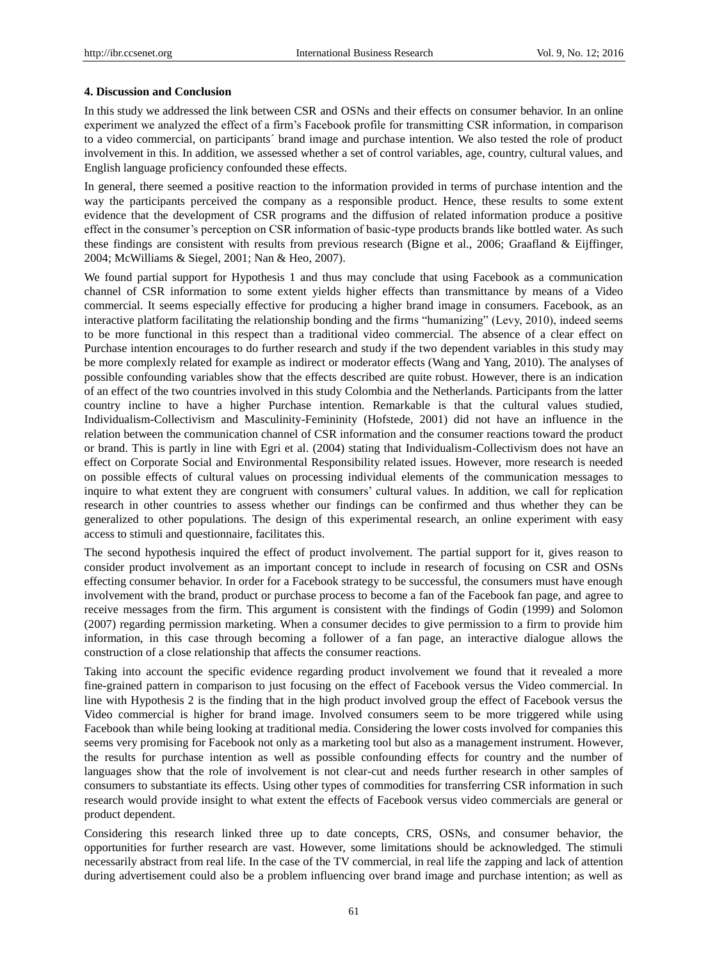## **4. Discussion and Conclusion**

In this study we addressed the link between CSR and OSNs and their effects on consumer behavior. In an online experiment we analyzed the effect of a firm"s Facebook profile for transmitting CSR information, in comparison to a video commercial, on participants´ brand image and purchase intention. We also tested the role of product involvement in this. In addition, we assessed whether a set of control variables, age, country, cultural values, and English language proficiency confounded these effects.

In general, there seemed a positive reaction to the information provided in terms of purchase intention and the way the participants perceived the company as a responsible product. Hence, these results to some extent evidence that the development of CSR programs and the diffusion of related information produce a positive effect in the consumer"s perception on CSR information of basic-type products brands like bottled water. As such these findings are consistent with results from previous research (Bigne et al., 2006; Graafland & Eijffinger, 2004; McWilliams & Siegel, 2001; Nan & Heo, 2007).

We found partial support for Hypothesis 1 and thus may conclude that using Facebook as a communication channel of CSR information to some extent yields higher effects than transmittance by means of a Video commercial. It seems especially effective for producing a higher brand image in consumers. Facebook, as an interactive platform facilitating the relationship bonding and the firms "humanizing" (Levy, 2010), indeed seems to be more functional in this respect than a traditional video commercial. The absence of a clear effect on Purchase intention encourages to do further research and study if the two dependent variables in this study may be more complexly related for example as indirect or moderator effects (Wang and Yang, 2010). The analyses of possible confounding variables show that the effects described are quite robust. However, there is an indication of an effect of the two countries involved in this study Colombia and the Netherlands. Participants from the latter country incline to have a higher Purchase intention. Remarkable is that the cultural values studied, Individualism-Collectivism and Masculinity-Femininity (Hofstede, 2001) did not have an influence in the relation between the communication channel of CSR information and the consumer reactions toward the product or brand. This is partly in line with Egri et al. (2004) stating that Individualism-Collectivism does not have an effect on Corporate Social and Environmental Responsibility related issues. However, more research is needed on possible effects of cultural values on processing individual elements of the communication messages to inquire to what extent they are congruent with consumers' cultural values. In addition, we call for replication research in other countries to assess whether our findings can be confirmed and thus whether they can be generalized to other populations. The design of this experimental research, an online experiment with easy access to stimuli and questionnaire, facilitates this.

The second hypothesis inquired the effect of product involvement. The partial support for it, gives reason to consider product involvement as an important concept to include in research of focusing on CSR and OSNs effecting consumer behavior. In order for a Facebook strategy to be successful, the consumers must have enough involvement with the brand, product or purchase process to become a fan of the Facebook fan page, and agree to receive messages from the firm. This argument is consistent with the findings of Godin (1999) and Solomon (2007) regarding permission marketing. When a consumer decides to give permission to a firm to provide him information, in this case through becoming a follower of a fan page, an interactive dialogue allows the construction of a close relationship that affects the consumer reactions.

Taking into account the specific evidence regarding product involvement we found that it revealed a more fine-grained pattern in comparison to just focusing on the effect of Facebook versus the Video commercial. In line with Hypothesis 2 is the finding that in the high product involved group the effect of Facebook versus the Video commercial is higher for brand image. Involved consumers seem to be more triggered while using Facebook than while being looking at traditional media. Considering the lower costs involved for companies this seems very promising for Facebook not only as a marketing tool but also as a management instrument. However, the results for purchase intention as well as possible confounding effects for country and the number of languages show that the role of involvement is not clear-cut and needs further research in other samples of consumers to substantiate its effects. Using other types of commodities for transferring CSR information in such research would provide insight to what extent the effects of Facebook versus video commercials are general or product dependent.

Considering this research linked three up to date concepts, CRS, OSNs, and consumer behavior, the opportunities for further research are vast. However, some limitations should be acknowledged. The stimuli necessarily abstract from real life. In the case of the TV commercial, in real life the zapping and lack of attention during advertisement could also be a problem influencing over brand image and purchase intention; as well as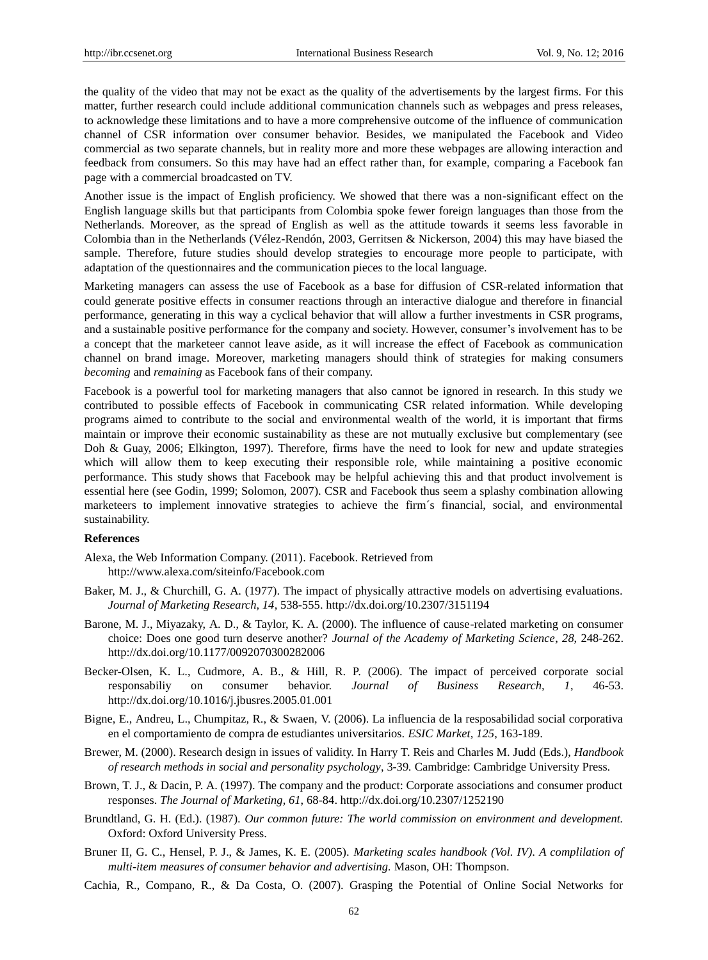the quality of the video that may not be exact as the quality of the advertisements by the largest firms. For this matter, further research could include additional communication channels such as webpages and press releases, to acknowledge these limitations and to have a more comprehensive outcome of the influence of communication channel of CSR information over consumer behavior. Besides, we manipulated the Facebook and Video commercial as two separate channels, but in reality more and more these webpages are allowing interaction and feedback from consumers. So this may have had an effect rather than, for example, comparing a Facebook fan page with a commercial broadcasted on TV.

Another issue is the impact of English proficiency. We showed that there was a non-significant effect on the English language skills but that participants from Colombia spoke fewer foreign languages than those from the Netherlands. Moreover, as the spread of English as well as the attitude towards it seems less favorable in Colombia than in the Netherlands (V dez-Rendón, 2003, Gerritsen & Nickerson, 2004) this may have biased the sample. Therefore, future studies should develop strategies to encourage more people to participate, with adaptation of the questionnaires and the communication pieces to the local language.

Marketing managers can assess the use of Facebook as a base for diffusion of CSR-related information that could generate positive effects in consumer reactions through an interactive dialogue and therefore in financial performance, generating in this way a cyclical behavior that will allow a further investments in CSR programs, and a sustainable positive performance for the company and society. However, consumer's involvement has to be a concept that the marketeer cannot leave aside, as it will increase the effect of Facebook as communication channel on brand image. Moreover, marketing managers should think of strategies for making consumers *becoming* and *remaining* as Facebook fans of their company.

Facebook is a powerful tool for marketing managers that also cannot be ignored in research. In this study we contributed to possible effects of Facebook in communicating CSR related information. While developing programs aimed to contribute to the social and environmental wealth of the world, it is important that firms maintain or improve their economic sustainability as these are not mutually exclusive but complementary (see Doh & Guay, 2006; Elkington, 1997). Therefore, firms have the need to look for new and update strategies which will allow them to keep executing their responsible role, while maintaining a positive economic performance. This study shows that Facebook may be helpful achieving this and that product involvement is essential here (see Godin, 1999; Solomon, 2007). CSR and Facebook thus seem a splashy combination allowing marketeers to implement innovative strategies to achieve the firm´s financial, social, and environmental sustainability.

#### **References**

- Alexa, the Web Information Company. (2011). Facebook. Retrieved from http://www.alexa.com/siteinfo/Facebook.com
- Baker, M. J., & Churchill, G. A. (1977). The impact of physically attractive models on advertising evaluations. *Journal of Marketing Research, 14*, 538-555. <http://dx.doi.org/10.2307/3151194>
- Barone, M. J., Miyazaky, A. D., & Taylor, K. A. (2000). The influence of cause-related marketing on consumer choice: Does one good turn deserve another? *Journal of the Academy of Marketing Science*, *28*, 248-262. <http://dx.doi.org/10.1177/0092070300282006>
- Becker-Olsen, K. L., Cudmore, A. B., & Hill, R. P. (2006). The impact of perceived corporate social responsabiliy on consumer behavior. *Journal of Business Research, 1*, 46-53. <http://dx.doi.org/10.1016/j.jbusres.2005.01.001>
- Bigne, E., Andreu, L., Chumpitaz, R., & Swaen, V. (2006). La influencia de la resposabilidad social corporativa en el comportamiento de compra de estudiantes universitarios. *ESIC Market, 125*, 163-189.
- Brewer, M. (2000). Research design in issues of validity. In Harry T. Reis and Charles M. Judd (Eds.), *Handbook of research methods in social and personality psychology*, 3-39*.* Cambridge: Cambridge University Press.
- Brown, T. J., & Dacin, P. A. (1997). The company and the product: Corporate associations and consumer product responses. *The Journal of Marketing, 61*, 68-84. <http://dx.doi.org/10.2307/1252190>
- Brundtland, G. H. (Ed.). (1987). *Our common future: The world commission on environment and development.* Oxford: Oxford University Press.
- Bruner II, G. C., Hensel, P. J., & James, K. E. (2005). *Marketing scales handbook (Vol. IV)*. *A complilation of multi-item measures of consumer behavior and advertising.* Mason, OH: Thompson.
- Cachia, R., Compano, R., & Da Costa, O. (2007). Grasping the Potential of Online Social Networks for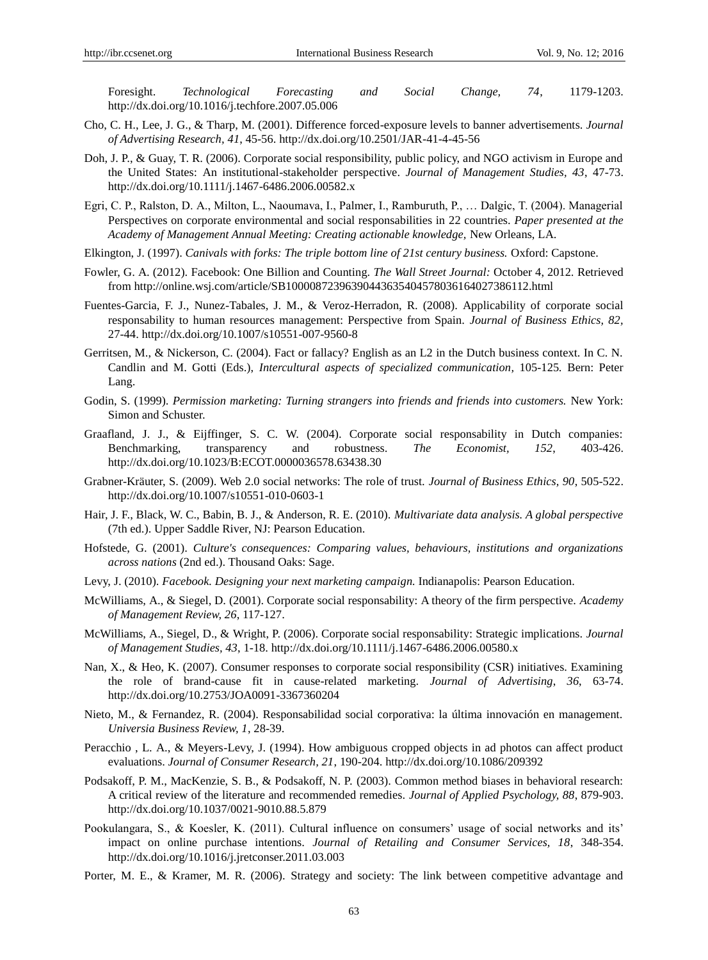Foresight. *Technological Forecasting and Social Change, 74*, 1179-1203. <http://dx.doi.org/10.1016/j.techfore.2007.05.006>

- Cho, C. H., Lee, J. G., & Tharp, M. (2001). Difference forced-exposure levels to banner advertisements. *Journal of Advertising Research, 41*, 45-56. <http://dx.doi.org/10.2501/JAR-41-4-45-56>
- Doh, J. P., & Guay, T. R. (2006). Corporate social responsibility, public policy, and NGO activism in Europe and the United States: An institutional-stakeholder perspective. *Journal of Management Studies, 43*, 47-73. <http://dx.doi.org/10.1111/j.1467-6486.2006.00582.x>
- Egri, C. P., Ralston, D. A., Milton, L., Naoumava, I., Palmer, I., Ramburuth, P., … Dalgic, T. (2004). Managerial Perspectives on corporate environmental and social responsabilities in 22 countries. *Paper presented at the Academy of Management Annual Meeting: Creating actionable knowledge,* New Orleans, LA.
- Elkington, J. (1997). *Canivals with forks: The triple bottom line of 21st century business.* Oxford: Capstone.
- Fowler, G. A. (2012). Facebook: One Billion and Counting. *The Wall Street Journal:* October 4, 2012*.* Retrieved from http://online.wsj.com/article/SB10000872396390443635404578036164027386112.html
- Fuentes-Garcia, F. J., Nunez-Tabales, J. M., & Veroz-Herradon, R. (2008). Applicability of corporate social responsability to human resources management: Perspective from Spain. *Journal of Business Ethics, 82,* 27-44. <http://dx.doi.org/10.1007/s10551-007-9560-8>
- Gerritsen, M., & Nickerson, C. (2004). Fact or fallacy? English as an L2 in the Dutch business context. In C. N. Candlin and M. Gotti (Eds.), *Intercultural aspects of specialized communication,* 105-125*.* Bern: Peter Lang.
- Godin, S. (1999). *Permission marketing: Turning strangers into friends and friends into customers.* New York: Simon and Schuster.
- Graafland, J. J., & Eijffinger, S. C. W. (2004). Corporate social responsability in Dutch companies: Benchmarking, transparency and robustness. *The Economist, 152*, 403-426. <http://dx.doi.org/10.1023/B:ECOT.0000036578.63438.30>
- Grabner-Kräuter, S. (2009). Web 2.0 social networks: The role of trust. *Journal of Business Ethics, 90*, 505-522. <http://dx.doi.org/10.1007/s10551-010-0603-1>
- Hair, J. F., Black, W. C., Babin, B. J., & Anderson, R. E. (2010). *Multivariate data analysis. A global perspective* (7th ed.). Upper Saddle River, NJ: Pearson Education.
- Hofstede, G. (2001). *Culture's consequences: Comparing values, behaviours, institutions and organizations across nations* (2nd ed.). Thousand Oaks: Sage.
- Levy, J. (2010). *Facebook. Designing your next marketing campaign.* Indianapolis: Pearson Education.
- McWilliams, A., & Siegel, D. (2001). Corporate social responsability: A theory of the firm perspective. *Academy of Management Review, 26*, 117-127.
- McWilliams, A., Siegel, D., & Wright, P. (2006). Corporate social responsability: Strategic implications. *Journal of Management Studies, 43*, 1-18. <http://dx.doi.org/10.1111/j.1467-6486.2006.00580.x>
- Nan, X., & Heo, K. (2007). Consumer responses to corporate social responsibility (CSR) initiatives. Examining the role of brand-cause fit in cause-related marketing. *Journal of Advertising*, *36*, 63-74. <http://dx.doi.org/10.2753/JOA0091-3367360204>
- Nieto, M., & Fernandez, R. (2004). Responsabilidad social corporativa: la última innovación en management. *Universia Business Review, 1*, 28-39.
- Peracchio , L. A., & Meyers-Levy, J. (1994). How ambiguous cropped objects in ad photos can affect product evaluations. *Journal of Consumer Research, 21*, 190-204. <http://dx.doi.org/10.1086/209392>
- Podsakoff, P. M., MacKenzie, S. B., & Podsakoff, N. P. (2003). Common method biases in behavioral research: A critical review of the literature and recommended remedies. *Journal of Applied Psychology, 88*, 879-903. <http://dx.doi.org/10.1037/0021-9010.88.5.879>
- Pookulangara, S., & Koesler, K. (2011). Cultural influence on consumers' usage of social networks and its' impact on online purchase intentions. *Journal of Retailing and Consumer Services, 18*, 348-354. <http://dx.doi.org/10.1016/j.jretconser.2011.03.003>
- Porter, M. E., & Kramer, M. R. (2006). Strategy and society: The link between competitive advantage and